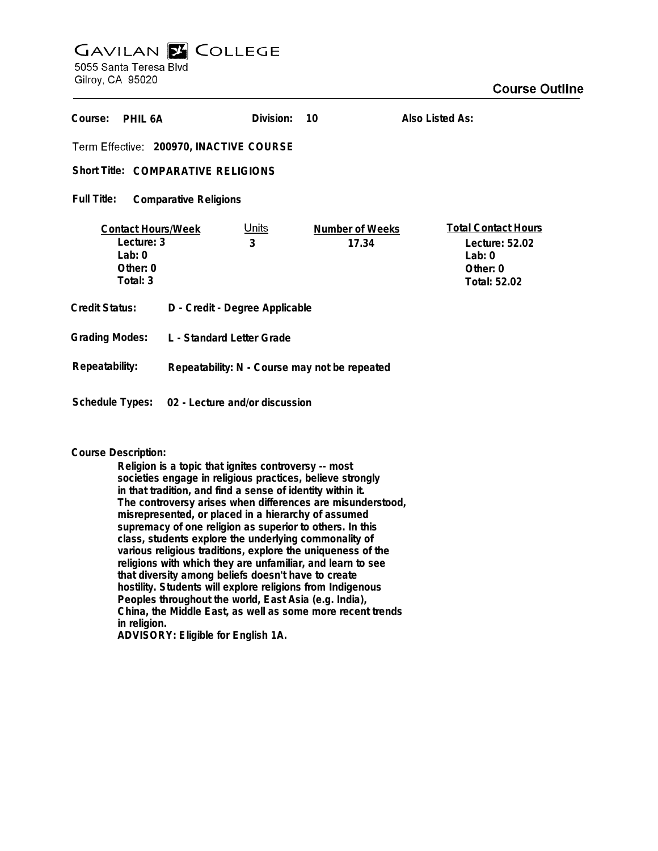# **GAVILAN E COLLEGE** 5055 Santa Teresa Blvd

Gilroy, CA 95020

| Course:<br>PHIL 6A                                                            |                                               | Division:         | 10                              | Also Listed As:                                                                      |
|-------------------------------------------------------------------------------|-----------------------------------------------|-------------------|---------------------------------|--------------------------------------------------------------------------------------|
| Term Effective: 200970, INACTIVE COURSE                                       |                                               |                   |                                 |                                                                                      |
| <b>Short Title: COMPARATIVE RELIGIONS</b>                                     |                                               |                   |                                 |                                                                                      |
| Full Title:<br><b>Comparative Religions</b>                                   |                                               |                   |                                 |                                                                                      |
| <b>Contact Hours/Week</b><br>Lecture: 3<br>Lab: $0$<br>Other: $0$<br>Total: 3 |                                               | <u>Units</u><br>3 | <b>Number of Weeks</b><br>17.34 | <b>Total Contact Hours</b><br>Lecture: 52.02<br>Lab: $0$<br>Other: 0<br>Total: 52.02 |
| <b>Credit Status:</b>                                                         | D - Credit - Degree Applicable                |                   |                                 |                                                                                      |
| <b>Grading Modes:</b>                                                         | L - Standard Letter Grade                     |                   |                                 |                                                                                      |
| Repeatability:                                                                | Repeatability: N - Course may not be repeated |                   |                                 |                                                                                      |
| Schedule Types:<br>02 - Lecture and/or discussion                             |                                               |                   |                                 |                                                                                      |

## **Course Description:**

**Religion is a topic that ignites controversy -- most societies engage in religious practices, believe strongly in that tradition, and find a sense of identity within it. The controversy arises when differences are misunderstood, misrepresented, or placed in a hierarchy of assumed supremacy of one religion as superior to others. In this class, students explore the underlying commonality of various religious traditions, explore the uniqueness of the religions with which they are unfamiliar, and learn to see that diversity among beliefs doesn't have to create hostility. Students will explore religions from Indigenous Peoples throughout the world, East Asia (e.g. India), China, the Middle East, as well as some more recent trends in religion. ADVISORY: Eligible for English 1A.**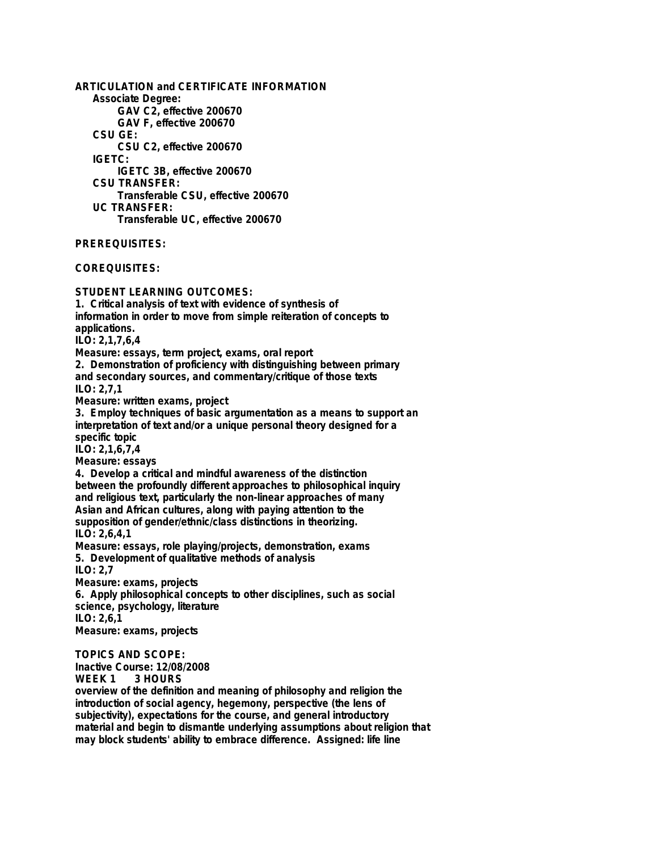**ARTICULATION and CERTIFICATE INFORMATION Associate Degree: GAV C2, effective 200670 GAV F, effective 200670 CSU GE: CSU C2, effective 200670 IGETC: IGETC 3B, effective 200670 CSU TRANSFER: Transferable CSU, effective 200670 UC TRANSFER: Transferable UC, effective 200670**

**PREREQUISITES:**

**COREQUISITES:**

**STUDENT LEARNING OUTCOMES:**

**1. Critical analysis of text with evidence of synthesis of information in order to move from simple reiteration of concepts to applications. ILO: 2,1,7,6,4 Measure: essays, term project, exams, oral report 2. Demonstration of proficiency with distinguishing between primary and secondary sources, and commentary/critique of those texts ILO: 2,7,1 Measure: written exams, project 3. Employ techniques of basic argumentation as a means to support an interpretation of text and/or a unique personal theory designed for a specific topic ILO: 2,1,6,7,4 Measure: essays 4. Develop a critical and mindful awareness of the distinction between the profoundly different approaches to philosophical inquiry and religious text, particularly the non-linear approaches of many Asian and African cultures, along with paying attention to the supposition of gender/ethnic/class distinctions in theorizing. ILO: 2,6,4,1**

**Measure: essays, role playing/projects, demonstration, exams 5. Development of qualitative methods of analysis ILO: 2,7**

**Measure: exams, projects 6. Apply philosophical concepts to other disciplines, such as social science, psychology, literature ILO: 2,6,1 Measure: exams, projects**

**TOPICS AND SCOPE:**

**Inactive Course: 12/08/2008**

3 HOURS

**overview of the definition and meaning of philosophy and religion the introduction of social agency, hegemony, perspective (the lens of subjectivity), expectations for the course, and general introductory material and begin to dismantle underlying assumptions about religion that may block students' ability to embrace difference. Assigned: life line**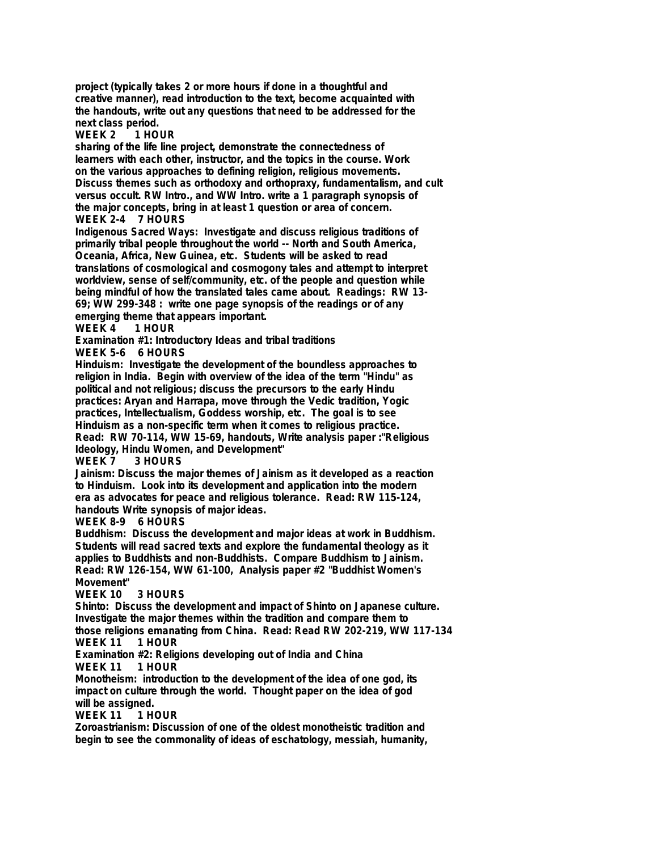**project (typically takes 2 or more hours if done in a thoughtful and creative manner), read introduction to the text, become acquainted with the handouts, write out any questions that need to be addressed for the**

**next class period.** WEEK 2

**sharing of the life line project, demonstrate the connectedness of learners with each other, instructor, and the topics in the course. Work on the various approaches to defining religion, religious movements. Discuss themes such as orthodoxy and orthopraxy, fundamentalism, and cult versus occult. RW Intro., and WW Intro. write a 1 paragraph synopsis of the major concepts, bring in at least 1 question or area of concern. WEEK 2-4 7 HOURS**

**Indigenous Sacred Ways: Investigate and discuss religious traditions of primarily tribal people throughout the world -- North and South America, Oceania, Africa, New Guinea, etc. Students will be asked to read translations of cosmological and cosmogony tales and attempt to interpret worldview, sense of self/community, etc. of the people and question while being mindful of how the translated tales came about. Readings: RW 13- 69; WW 299-348 : write one page synopsis of the readings or of any emerging theme that appears important.**

**WEEK 4 1 HOUR**

**Examination #1: Introductory Ideas and tribal traditions**

**WEEK 5-6 6 HOURS**

**Hinduism: Investigate the development of the boundless approaches to religion in India. Begin with overview of the idea of the term "Hindu" as political and not religious; discuss the precursors to the early Hindu practices: Aryan and Harrapa, move through the Vedic tradition, Yogic practices, Intellectualism, Goddess worship, etc. The goal is to see Hinduism as a non-specific term when it comes to religious practice. Read: RW 70-114, WW 15-69, handouts, Write analysis paper :"Religious Ideology, Hindu Women, and Development"**

3 HOURS

**Jainism: Discuss the major themes of Jainism as it developed as a reaction to Hinduism. Look into its development and application into the modern era as advocates for peace and religious tolerance. Read: RW 115-124, handouts Write synopsis of major ideas.**

**WEEK 8-9 6 HOURS**

**Buddhism: Discuss the development and major ideas at work in Buddhism. Students will read sacred texts and explore the fundamental theology as it applies to Buddhists and non-Buddhists. Compare Buddhism to Jainism. Read: RW 126-154, WW 61-100, Analysis paper #2 "Buddhist Women's Movement"**

## **WEEK 10 3 HOURS**

**Shinto: Discuss the development and impact of Shinto on Japanese culture. Investigate the major themes within the tradition and compare them to those religions emanating from China. Read: Read RW 202-219, WW 117-134 WEEK 11 1 HOUR**

**Examination #2: Religions developing out of India and China WEEK 11** 

**Monotheism: introduction to the development of the idea of one god, its impact on culture through the world. Thought paper on the idea of god will be assigned.**

**WEEK 11** 

**Zoroastrianism: Discussion of one of the oldest monotheistic tradition and begin to see the commonality of ideas of eschatology, messiah, humanity,**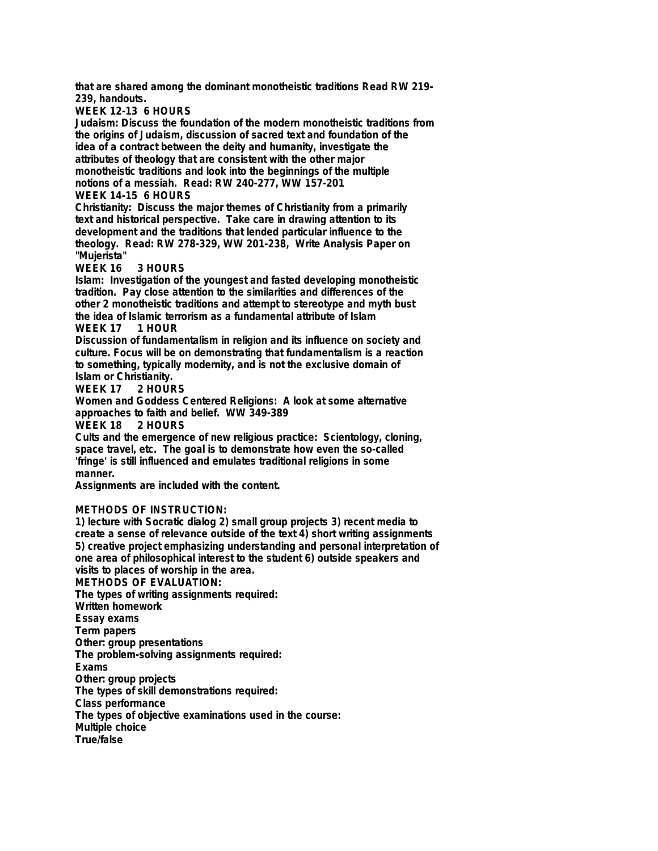**that are shared among the dominant monotheistic traditions Read RW 219- 239, handouts.**

**WEEK 12-13 6 HOURS**

**Judaism: Discuss the foundation of the modern monotheistic traditions from the origins of Judaism, discussion of sacred text and foundation of the idea of a contract between the deity and humanity, investigate the attributes of theology that are consistent with the other major monotheistic traditions and look into the beginnings of the multiple notions of a messiah. Read: RW 240-277, WW 157-201 WEEK 14-15 6 HOURS**

**Christianity: Discuss the major themes of Christianity from a primarily text and historical perspective. Take care in drawing attention to its development and the traditions that lended particular influence to the theology. Read: RW 278-329, WW 201-238, Write Analysis Paper on "Mujerista"**

#### **WEEK 16 3 HOURS**

**Islam: Investigation of the youngest and fasted developing monotheistic tradition. Pay close attention to the similarities and differences of the other 2 monotheistic traditions and attempt to stereotype and myth bust the idea of Islamic terrorism as a fundamental attribute of Islam**

## **WEEK 17 1 HOUR**

**Discussion of fundamentalism in religion and its influence on society and culture. Focus will be on demonstrating that fundamentalism is a reaction to something, typically modernity, and is not the exclusive domain of**

**Islam or Christianity.** 2 HOURS

**Women and Goddess Centered Religions: A look at some alternative approaches to faith and belief. WW 349-389**

**WEEK 18** 

**Cults and the emergence of new religious practice: Scientology, cloning, space travel, etc. The goal is to demonstrate how even the so-called 'fringe' is still influenced and emulates traditional religions in some manner.**

**Assignments are included with the content.**

## **METHODS OF INSTRUCTION:**

**1) lecture with Socratic dialog 2) small group projects 3) recent media to create a sense of relevance outside of the text 4) short writing assignments 5) creative project emphasizing understanding and personal interpretation of one area of philosophical interest to the student 6) outside speakers and visits to places of worship in the area.**

**METHODS OF EVALUATION: The types of writing assignments required: Written homework Essay exams Term papers Other: group presentations The problem-solving assignments required: Exams Other: group projects The types of skill demonstrations required: Class performance The types of objective examinations used in the course: Multiple choice True/false**